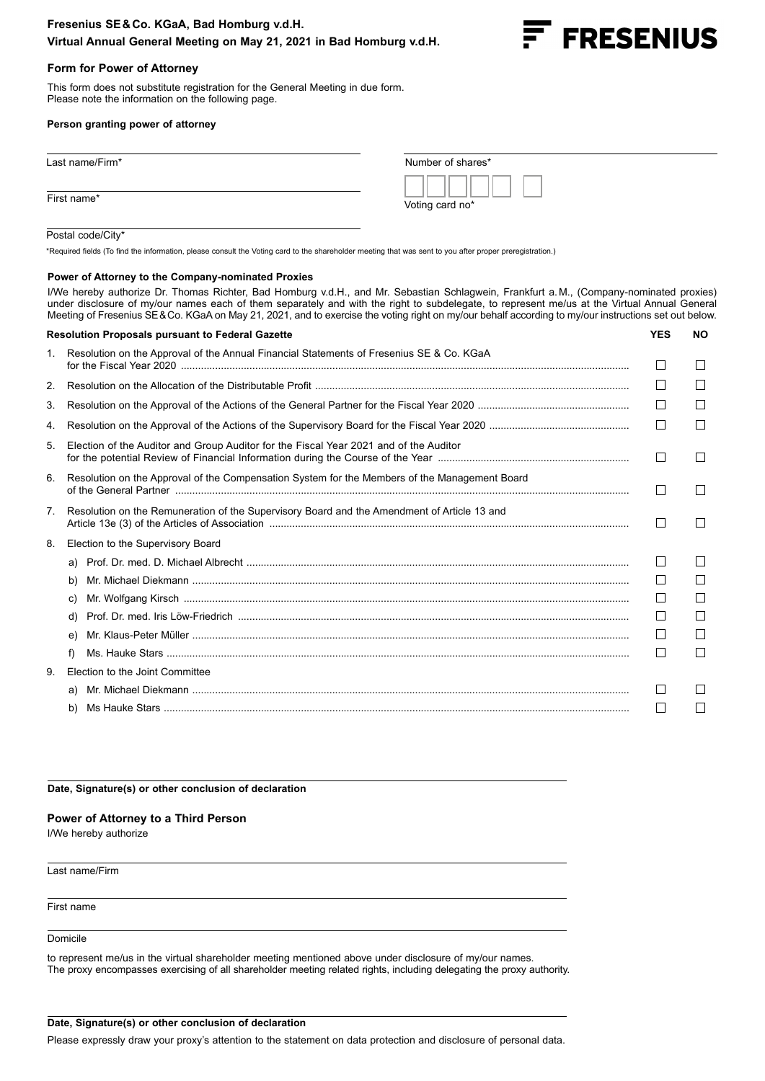# **Fresenius SE&Co. KGaA, Bad Homburg v.d.H. Virtual Annual General Meeting on May 21, 2021 in Bad Homburg v.d.H.**



# **Form for Power of Attorney**

This form does not substitute registration for the General Meeting in due form. Please note the information on the following page.

#### **Person granting power of attorney**

| Last name/Firm* | Number of shares* |
|-----------------|-------------------|
| First name*     | Voting card no*   |

### Postal code/City\*

\*Required fields (To find the information, please consult the Voting card to the shareholder meeting that was sent to you after proper preregistration.)

#### **Power of Attorney to the Company-nominated Proxies**

I/We hereby authorize Dr. Thomas Richter, Bad Homburg v.d.H., and Mr. Sebastian Schlagwein, Frankfurt a.M., (Company-nominated proxies) under disclosure of my/our names each of them separately and with the right to subdelegate, to represent me/us at the Virtual Annual General Meeting of Fresenius SE&Co. KGaA on May 21, 2021, and to exercise the voting right on my/our behalf according to my/our instructions set out below.

| <b>Resolution Proposals pursuant to Federal Gazette</b> |                                                                                               | <b>YES</b> | NO. |
|---------------------------------------------------------|-----------------------------------------------------------------------------------------------|------------|-----|
| 1.                                                      | Resolution on the Approval of the Annual Financial Statements of Fresenius SE & Co. KGaA      |            |     |
| 2.                                                      |                                                                                               |            |     |
| 3.                                                      |                                                                                               |            |     |
| 4.                                                      |                                                                                               |            |     |
| 5.                                                      | Election of the Auditor and Group Auditor for the Fiscal Year 2021 and of the Auditor         |            |     |
| 6.                                                      | Resolution on the Approval of the Compensation System for the Members of the Management Board |            |     |
| 7.                                                      | Resolution on the Remuneration of the Supervisory Board and the Amendment of Article 13 and   |            |     |
| 8.                                                      | Election to the Supervisory Board                                                             |            |     |
|                                                         | a)                                                                                            |            |     |
|                                                         | b)                                                                                            |            |     |
|                                                         | C)                                                                                            |            |     |
|                                                         | d)                                                                                            |            |     |
|                                                         | e)                                                                                            |            |     |
|                                                         | f)                                                                                            |            |     |
| 9                                                       | Election to the Joint Committee                                                               |            |     |
|                                                         | a)                                                                                            |            |     |
|                                                         | b)                                                                                            |            |     |
|                                                         |                                                                                               |            |     |

**Date, Signature(s) or other conclusion of declaration**

### **Power of Attorney to a Third Person**

I/We hereby authorize

Last name/Firm

First name

Domicile

to represent me/us in the virtual shareholder meeting mentioned above under disclosure of my/our names. The proxy encompasses exercising of all shareholder meeting related rights, including delegating the proxy authority.

#### **Date, Signature(s) or other conclusion of declaration**

Please expressly draw your proxy's attention to the statement on data protection and disclosure of personal data.